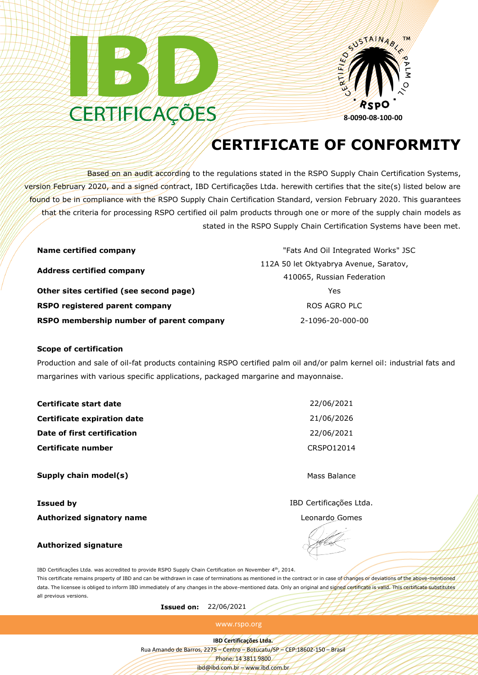



## **CERTIFICATE OF CONFORMITY**

Based on an audit according to the regulations stated in the RSPO Supply Chain Certification Systems, version February 2020, and a signed contract, IBD Certificações Ltda. herewith certifies that the site(s) listed below are found to be in compliance with the RSPO Supply Chain Certification Standard, version February 2020. This guarantees that the criteria for processing RSPO certified oil palm products through one or more of the supply chain models as stated in the RSPO Supply Chain Certification Systems have been met.

| <b>Name certified company</b>            | "Fats And Oil Integrated Works" JSC    |  |
|------------------------------------------|----------------------------------------|--|
|                                          | 112A 50 let Oktyabrya Avenue, Saratov, |  |
| <b>Address certified company</b>         | 410065, Russian Federation             |  |
| Other sites certified (see second page)  | Yes                                    |  |
| RSPO registered parent company           | ROS AGRO PLC                           |  |
| RSPO membership number of parent company | 2-1096-20-000-00                       |  |

## **Scope of certification**

Production and sale of oil-fat products containing RSPO certified palm oil and/or palm kernel oil: industrial fats and margarines with various specific applications, packaged margarine and mayonnaise.

| Certificate start date      | 22/06/2021   |
|-----------------------------|--------------|
| Certificate expiration date | 21/06/2026   |
| Date of first certification | 22/06/2021   |
| Certificate number          | CRSP012014   |
| Supply chain model(s)       | Mass Balance |

**Issued by IBD** Certificações Ltda. **Authorized signatory name Leonardo Gomes Leonardo Gomes** 

## **Authorized signature**

IBD Certificações Ltda. was accredited to provide RSPO Supply Chain Certification on November 4th, 2014. This certificate remains property of IBD and can be withdrawn in case of terminations as mentioned in the contract or in case of changes or deviations of the above-mentioned data. The licensee is obliged to inform IBD immediately of any changes in the above-mentioned data. Only an original and signed certificate is valid. This certificate substitutes all previous versions.

**Issued on:** 22/06/2021

www.rspo.org

**IBD Certificações Ltda.**

Rua Amando de Barros, 2275 – Centro – Botucatu/SP – CEP:18602-150 – Brasil

Phone: 14 3811 9800 ibd@ibd.com.br – www.ibd.com.br